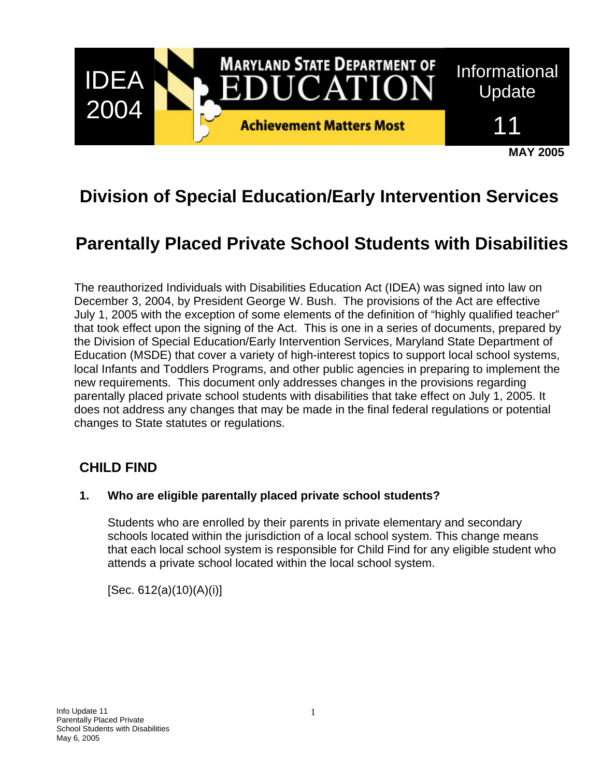

# **Division of Special Education/Early Intervention Services**

# **Parentally Placed Private School Students with Disabilities**

The reauthorized Individuals with Disabilities Education Act (IDEA) was signed into law on December 3, 2004, by President George W. Bush. The provisions of the Act are effective July 1, 2005 with the exception of some elements of the definition of "highly qualified teacher" that took effect upon the signing of the Act. This is one in a series of documents, prepared by the Division of Special Education/Early Intervention Services, Maryland State Department of Education (MSDE) that cover a variety of high-interest topics to support local school systems, local Infants and Toddlers Programs, and other public agencies in preparing to implement the new requirements. This document only addresses changes in the provisions regarding parentally placed private school students with disabilities that take effect on July 1, 2005. It does not address any changes that may be made in the final federal regulations or potential changes to State statutes or regulations.

## **CHILD FIND**

#### **1. Who are eligible parentally placed private school students?**

Students who are enrolled by their parents in private elementary and secondary schools located within the jurisdiction of a local school system. This change means that each local school system is responsible for Child Find for any eligible student who attends a private school located within the local school system.

[Sec. 612(a)(10)(A)(i)]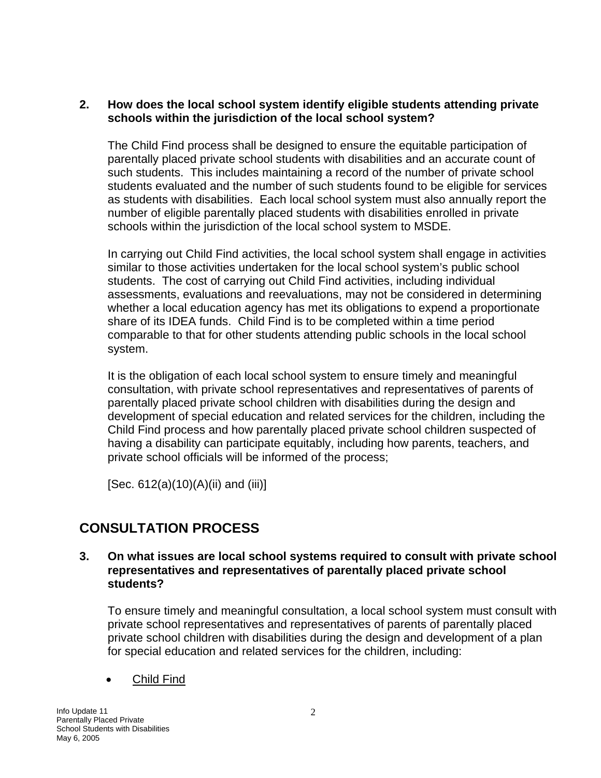#### **2. How does the local school system identify eligible students attending private schools within the jurisdiction of the local school system?**

The Child Find process shall be designed to ensure the equitable participation of parentally placed private school students with disabilities and an accurate count of such students. This includes maintaining a record of the number of private school students evaluated and the number of such students found to be eligible for services as students with disabilities. Each local school system must also annually report the number of eligible parentally placed students with disabilities enrolled in private schools within the jurisdiction of the local school system to MSDE.

In carrying out Child Find activities, the local school system shall engage in activities similar to those activities undertaken for the local school system's public school students. The cost of carrying out Child Find activities, including individual assessments, evaluations and reevaluations, may not be considered in determining whether a local education agency has met its obligations to expend a proportionate share of its IDEA funds. Child Find is to be completed within a time period comparable to that for other students attending public schools in the local school system.

It is the obligation of each local school system to ensure timely and meaningful consultation, with private school representatives and representatives of parents of parentally placed private school children with disabilities during the design and development of special education and related services for the children, including the Child Find process and how parentally placed private school children suspected of having a disability can participate equitably, including how parents, teachers, and private school officials will be informed of the process;

[Sec. 612(a)(10)(A)(ii) and (iii)]

# **CONSULTATION PROCESS**

**3. On what issues are local school systems required to consult with private school representatives and representatives of parentally placed private school students?** 

To ensure timely and meaningful consultation, a local school system must consult with private school representatives and representatives of parents of parentally placed private school children with disabilities during the design and development of a plan for special education and related services for the children, including:

• Child Find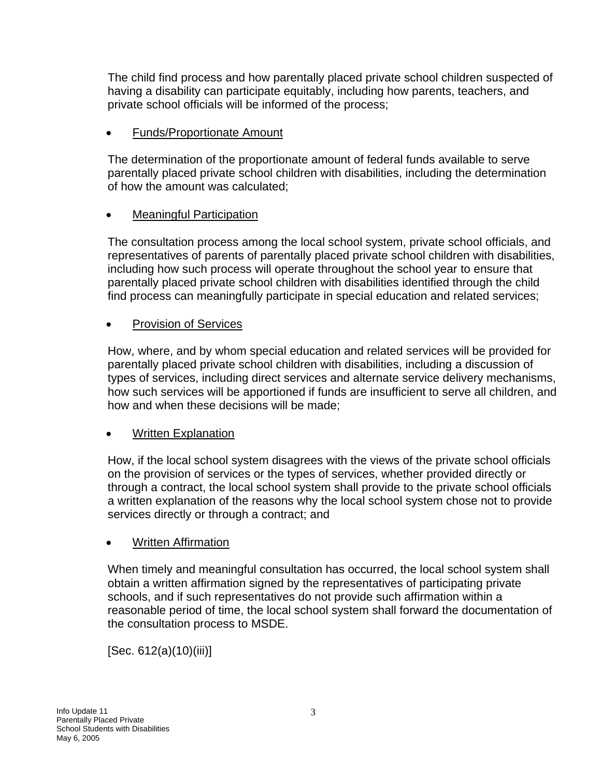The child find process and how parentally placed private school children suspected of having a disability can participate equitably, including how parents, teachers, and private school officials will be informed of the process;

## • Funds/Proportionate Amount

The determination of the proportionate amount of federal funds available to serve parentally placed private school children with disabilities, including the determination of how the amount was calculated;

## • Meaningful Participation

The consultation process among the local school system, private school officials, and representatives of parents of parentally placed private school children with disabilities, including how such process will operate throughout the school year to ensure that parentally placed private school children with disabilities identified through the child find process can meaningfully participate in special education and related services;

### • Provision of Services

How, where, and by whom special education and related services will be provided for parentally placed private school children with disabilities, including a discussion of types of services, including direct services and alternate service delivery mechanisms, how such services will be apportioned if funds are insufficient to serve all children, and how and when these decisions will be made;

## • Written Explanation

How, if the local school system disagrees with the views of the private school officials on the provision of services or the types of services, whether provided directly or through a contract, the local school system shall provide to the private school officials a written explanation of the reasons why the local school system chose not to provide services directly or through a contract; and

#### • Written Affirmation

When timely and meaningful consultation has occurred, the local school system shall obtain a written affirmation signed by the representatives of participating private schools, and if such representatives do not provide such affirmation within a reasonable period of time, the local school system shall forward the documentation of the consultation process to MSDE.

[Sec. 612(a)(10)(iii)]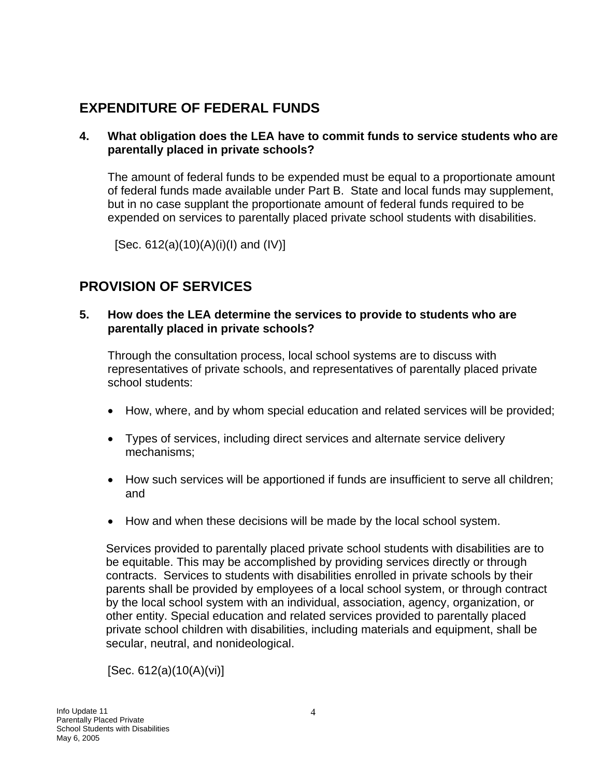# **EXPENDITURE OF FEDERAL FUNDS**

#### **4. What obligation does the LEA have to commit funds to service students who are parentally placed in private schools?**

The amount of federal funds to be expended must be equal to a proportionate amount of federal funds made available under Part B. State and local funds may supplement, but in no case supplant the proportionate amount of federal funds required to be expended on services to parentally placed private school students with disabilities.

[Sec. 612(a)(10)(A)(i)(I) and (IV)]

# **PROVISION OF SERVICES**

#### **5. How does the LEA determine the services to provide to students who are parentally placed in private schools?**

Through the consultation process, local school systems are to discuss with representatives of private schools, and representatives of parentally placed private school students:

- How, where, and by whom special education and related services will be provided;
- Types of services, including direct services and alternate service delivery mechanisms;
- How such services will be apportioned if funds are insufficient to serve all children; and
- How and when these decisions will be made by the local school system.

Services provided to parentally placed private school students with disabilities are to be equitable. This may be accomplished by providing services directly or through contracts. Services to students with disabilities enrolled in private schools by their parents shall be provided by employees of a local school system, or through contract by the local school system with an individual, association, agency, organization, or other entity. Special education and related services provided to parentally placed private school children with disabilities, including materials and equipment, shall be secular, neutral, and nonideological.

[Sec. 612(a)(10(A)(vi)]